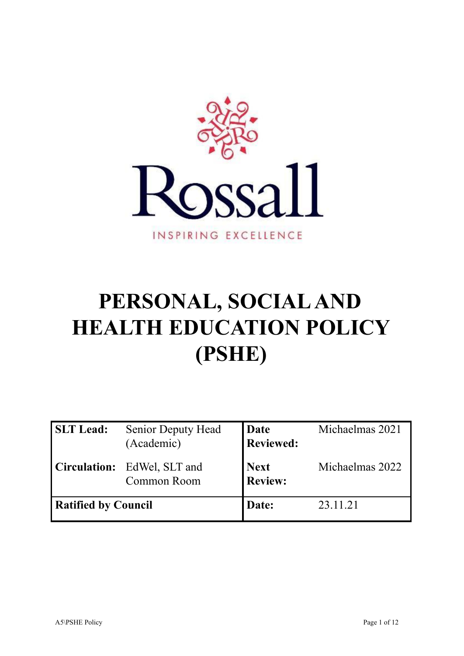

# **PERSONAL, SOCIALAND HEALTH EDUCATION POLICY (PSHE)**

| <b>SLT</b> Lead:           | <b>Senior Deputy Head</b><br>(Academic) | Date<br><b>Reviewed:</b>      | Michaelmas 2021 |
|----------------------------|-----------------------------------------|-------------------------------|-----------------|
| <b>Circulation:</b>        | EdWel, SLT and<br>Common Room           | <b>Next</b><br><b>Review:</b> | Michaelmas 2022 |
| <b>Ratified by Council</b> |                                         | Date:                         | 23.11.21        |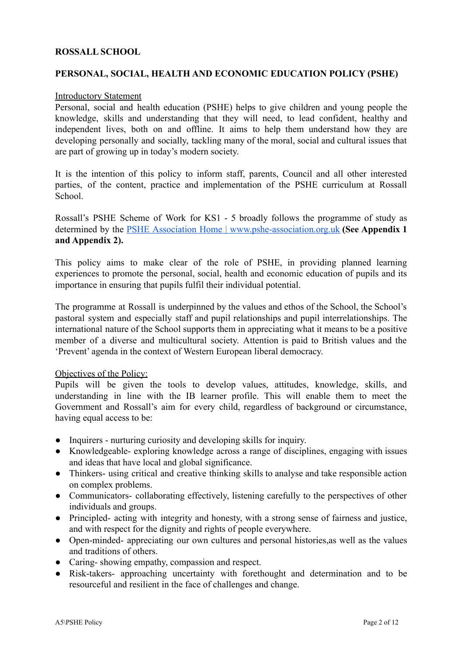#### **ROSSALL SCHOOL**

### **PERSONAL, SOCIAL, HEALTH AND ECONOMIC EDUCATION POLICY (PSHE)**

#### Introductory Statement

Personal, social and health education (PSHE) helps to give children and young people the knowledge, skills and understanding that they will need, to lead confident, healthy and independent lives, both on and offline. It aims to help them understand how they are developing personally and socially, tackling many of the moral, social and cultural issues that are part of growing up in today's modern society.

It is the intention of this policy to inform staff, parents, Council and all other interested parties, of the content, practice and implementation of the PSHE curriculum at Rossall School.

Rossall's PSHE Scheme of Work for KS1 - 5 broadly follows the programme of study as determined by the PSHE Association Home | [www.pshe-association.org.uk](http://www.pshe-association.org.uk) **(See Appendix 1 and Appendix 2).**

This policy aims to make clear of the role of PSHE, in providing planned learning experiences to promote the personal, social, health and economic education of pupils and its importance in ensuring that pupils fulfil their individual potential.

The programme at Rossall is underpinned by the values and ethos of the School, the School's pastoral system and especially staff and pupil relationships and pupil interrelationships. The international nature of the School supports them in appreciating what it means to be a positive member of a diverse and multicultural society. Attention is paid to British values and the 'Prevent' agenda in the context of Western European liberal democracy.

#### Objectives of the Policy:

Pupils will be given the tools to develop values, attitudes, knowledge, skills, and understanding in line with the IB learner profile. This will enable them to meet the Government and Rossall's aim for every child, regardless of background or circumstance, having equal access to be:

- Inquirers nurturing curiosity and developing skills for inquiry.
- Knowledgeable- exploring knowledge across a range of disciplines, engaging with issues and ideas that have local and global significance.
- Thinkers- using critical and creative thinking skills to analyse and take responsible action on complex problems.
- Communicators- collaborating effectively, listening carefully to the perspectives of other individuals and groups.
- Principled- acting with integrity and honesty, with a strong sense of fairness and justice, and with respect for the dignity and rights of people everywhere.
- Open-minded- appreciating our own cultures and personal histories, as well as the values and traditions of others.
- Caring-showing empathy, compassion and respect.
- Risk-takers- approaching uncertainty with forethought and determination and to be resourceful and resilient in the face of challenges and change.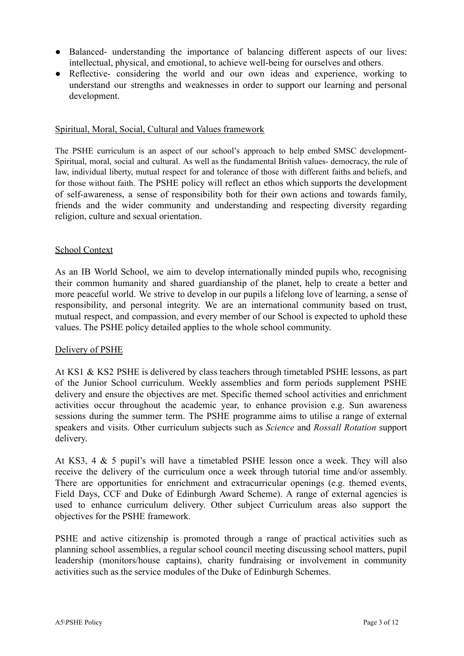- Balanced- understanding the importance of balancing different aspects of our lives: intellectual, physical, and emotional, to achieve well-being for ourselves and others.
- Reflective- considering the world and our own ideas and experience, working to understand our strengths and weaknesses in order to support our learning and personal development.

#### Spiritual, Moral, Social, Cultural and Values framework

The PSHE curriculum is an aspect of our school's approach to help embed SMSC development-Spiritual, moral, social and cultural. As well as the fundamental British values- democracy, the rule of law, individual liberty, mutual respect for and tolerance of those with different faiths and beliefs, and for those without faith. The PSHE policy will reflect an ethos which supports the development of self-awareness, a sense of responsibility both for their own actions and towards family, friends and the wider community and understanding and respecting diversity regarding religion, culture and sexual orientation.

#### School Context

As an IB World School, we aim to develop internationally minded pupils who, recognising their common humanity and shared guardianship of the planet, help to create a better and more peaceful world. We strive to develop in our pupils a lifelong love of learning, a sense of responsibility, and personal integrity. We are an international community based on trust, mutual respect, and compassion, and every member of our School is expected to uphold these values. The PSHE policy detailed applies to the whole school community.

#### Delivery of PSHE

At KS1 & KS2 PSHE is delivered by class teachers through timetabled PSHE lessons, as part of the Junior School curriculum. Weekly assemblies and form periods supplement PSHE delivery and ensure the objectives are met. Specific themed school activities and enrichment activities occur throughout the academic year, to enhance provision e.g. Sun awareness sessions during the summer term. The PSHE programme aims to utilise a range of external speakers and visits. Other curriculum subjects such as *Science* and *Rossall Rotation* support delivery.

At KS3, 4 & 5 pupil's will have a timetabled PSHE lesson once a week. They will also receive the delivery of the curriculum once a week through tutorial time and/or assembly. There are opportunities for enrichment and extracurricular openings (e.g. themed events, Field Days, CCF and Duke of Edinburgh Award Scheme). A range of external agencies is used to enhance curriculum delivery. Other subject Curriculum areas also support the objectives for the PSHE framework.

PSHE and active citizenship is promoted through a range of practical activities such as planning school assemblies, a regular school council meeting discussing school matters, pupil leadership (monitors/house captains), charity fundraising or involvement in community activities such as the service modules of the Duke of Edinburgh Schemes.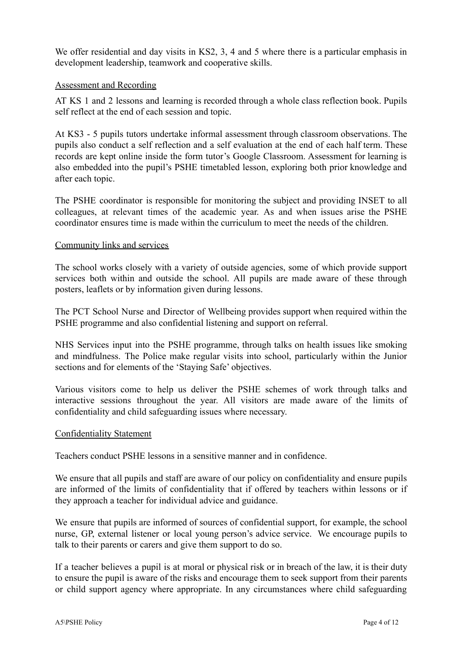We offer residential and day visits in KS2, 3, 4 and 5 where there is a particular emphasis in development leadership, teamwork and cooperative skills.

## Assessment and Recording

AT KS 1 and 2 lessons and learning is recorded through a whole class reflection book. Pupils self reflect at the end of each session and topic.

At KS3 - 5 pupils tutors undertake informal assessment through classroom observations. The pupils also conduct a self reflection and a self evaluation at the end of each half term. These records are kept online inside the form tutor's Google Classroom. Assessment for learning is also embedded into the pupil's PSHE timetabled lesson, exploring both prior knowledge and after each topic.

The PSHE coordinator is responsible for monitoring the subject and providing INSET to all colleagues, at relevant times of the academic year. As and when issues arise the PSHE coordinator ensures time is made within the curriculum to meet the needs of the children.

## Community links and services

The school works closely with a variety of outside agencies, some of which provide support services both within and outside the school. All pupils are made aware of these through posters, leaflets or by information given during lessons.

The PCT School Nurse and Director of Wellbeing provides support when required within the PSHE programme and also confidential listening and support on referral.

NHS Services input into the PSHE programme, through talks on health issues like smoking and mindfulness. The Police make regular visits into school, particularly within the Junior sections and for elements of the 'Staying Safe' objectives.

Various visitors come to help us deliver the PSHE schemes of work through talks and interactive sessions throughout the year. All visitors are made aware of the limits of confidentiality and child safeguarding issues where necessary.

#### Confidentiality Statement

Teachers conduct PSHE lessons in a sensitive manner and in confidence.

We ensure that all pupils and staff are aware of our policy on confidentiality and ensure pupils are informed of the limits of confidentiality that if offered by teachers within lessons or if they approach a teacher for individual advice and guidance.

We ensure that pupils are informed of sources of confidential support, for example, the school nurse, GP, external listener or local young person's advice service. We encourage pupils to talk to their parents or carers and give them support to do so.

If a teacher believes a pupil is at moral or physical risk or in breach of the law, it is their duty to ensure the pupil is aware of the risks and encourage them to seek support from their parents or child support agency where appropriate. In any circumstances where child safeguarding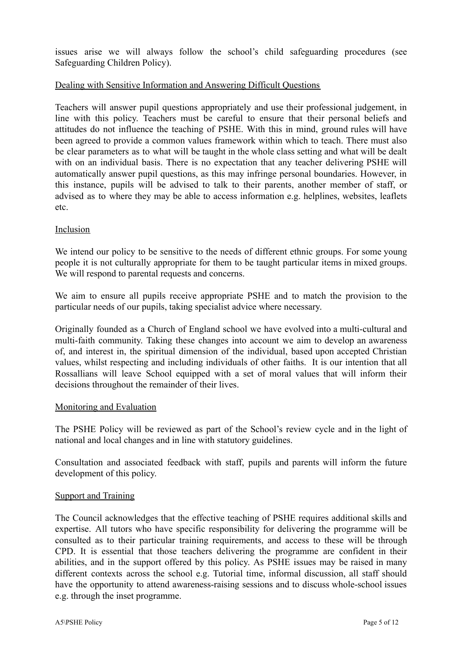issues arise we will always follow the school's child safeguarding procedures (see Safeguarding Children Policy).

## Dealing with Sensitive Information and Answering Difficult Questions

Teachers will answer pupil questions appropriately and use their professional judgement, in line with this policy. Teachers must be careful to ensure that their personal beliefs and attitudes do not influence the teaching of PSHE. With this in mind, ground rules will have been agreed to provide a common values framework within which to teach. There must also be clear parameters as to what will be taught in the whole class setting and what will be dealt with on an individual basis. There is no expectation that any teacher delivering PSHE will automatically answer pupil questions, as this may infringe personal boundaries. However, in this instance, pupils will be advised to talk to their parents, another member of staff, or advised as to where they may be able to access information e.g. helplines, websites, leaflets etc.

#### Inclusion

We intend our policy to be sensitive to the needs of different ethnic groups. For some young people it is not culturally appropriate for them to be taught particular items in mixed groups. We will respond to parental requests and concerns.

We aim to ensure all pupils receive appropriate PSHE and to match the provision to the particular needs of our pupils, taking specialist advice where necessary.

Originally founded as a Church of England school we have evolved into a multi-cultural and multi-faith community. Taking these changes into account we aim to develop an awareness of, and interest in, the spiritual dimension of the individual, based upon accepted Christian values, whilst respecting and including individuals of other faiths. It is our intention that all Rossallians will leave School equipped with a set of moral values that will inform their decisions throughout the remainder of their lives.

#### Monitoring and Evaluation

The PSHE Policy will be reviewed as part of the School's review cycle and in the light of national and local changes and in line with statutory guidelines.

Consultation and associated feedback with staff, pupils and parents will inform the future development of this policy.

#### Support and Training

The Council acknowledges that the effective teaching of PSHE requires additional skills and expertise. All tutors who have specific responsibility for delivering the programme will be consulted as to their particular training requirements, and access to these will be through CPD. It is essential that those teachers delivering the programme are confident in their abilities, and in the support offered by this policy. As PSHE issues may be raised in many different contexts across the school e.g. Tutorial time, informal discussion, all staff should have the opportunity to attend awareness-raising sessions and to discuss whole-school issues e.g. through the inset programme.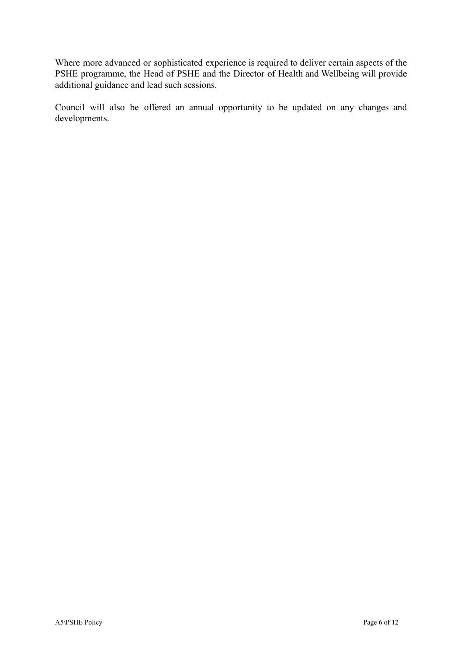Where more advanced or sophisticated experience is required to deliver certain aspects of the PSHE programme, the Head of PSHE and the Director of Health and Wellbeing will provide additional guidance and lead such sessions.

Council will also be offered an annual opportunity to be updated on any changes and developments.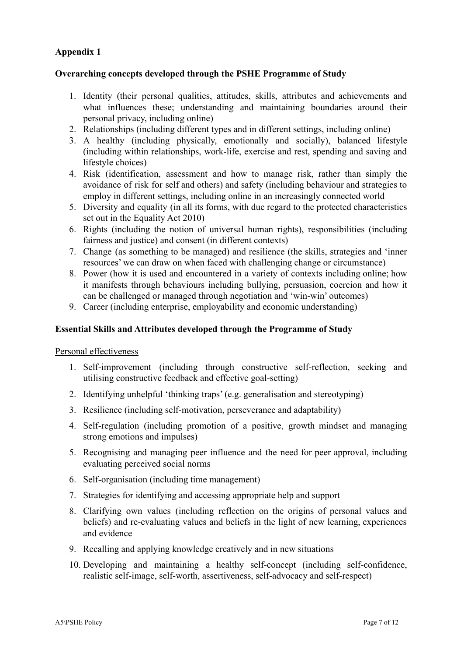# **Appendix 1**

#### **Overarching concepts developed through the PSHE Programme of Study**

- 1. Identity (their personal qualities, attitudes, skills, attributes and achievements and what influences these; understanding and maintaining boundaries around their personal privacy, including online)
- 2. Relationships (including different types and in different settings, including online)
- 3. A healthy (including physically, emotionally and socially), balanced lifestyle (including within relationships, work-life, exercise and rest, spending and saving and lifestyle choices)
- 4. Risk (identification, assessment and how to manage risk, rather than simply the avoidance of risk for self and others) and safety (including behaviour and strategies to employ in different settings, including online in an increasingly connected world
- 5. Diversity and equality (in all its forms, with due regard to the protected characteristics set out in the Equality Act 2010)
- 6. Rights (including the notion of universal human rights), responsibilities (including fairness and justice) and consent (in different contexts)
- 7. Change (as something to be managed) and resilience (the skills, strategies and 'inner resources' we can draw on when faced with challenging change or circumstance)
- 8. Power (how it is used and encountered in a variety of contexts including online; how it manifests through behaviours including bullying, persuasion, coercion and how it can be challenged or managed through negotiation and 'win-win' outcomes)
- 9. Career (including enterprise, employability and economic understanding)

## **Essential Skills and Attributes developed through the Programme of Study**

#### Personal effectiveness

- 1. Self-improvement (including through constructive self-reflection, seeking and utilising constructive feedback and effective goal-setting)
- 2. Identifying unhelpful 'thinking traps' (e.g. generalisation and stereotyping)
- 3. Resilience (including self-motivation, perseverance and adaptability)
- 4. Self-regulation (including promotion of a positive, growth mindset and managing strong emotions and impulses)
- 5. Recognising and managing peer influence and the need for peer approval, including evaluating perceived social norms
- 6. Self-organisation (including time management)
- 7. Strategies for identifying and accessing appropriate help and support
- 8. Clarifying own values (including reflection on the origins of personal values and beliefs) and re-evaluating values and beliefs in the light of new learning, experiences and evidence
- 9. Recalling and applying knowledge creatively and in new situations
- 10. Developing and maintaining a healthy self-concept (including self-confidence, realistic self-image, self-worth, assertiveness, self-advocacy and self-respect)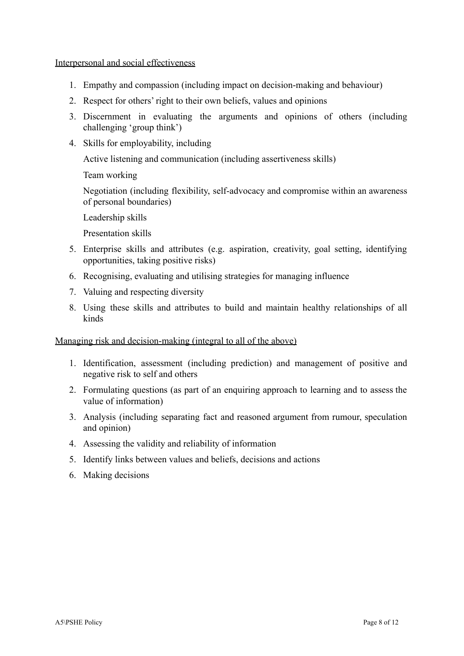Interpersonal and social effectiveness

- 1. Empathy and compassion (including impact on decision-making and behaviour)
- 2. Respect for others' right to their own beliefs, values and opinions
- 3. Discernment in evaluating the arguments and opinions of others (including challenging 'group think')
- 4. Skills for employability, including

Active listening and communication (including assertiveness skills)

Team working

Negotiation (including flexibility, self-advocacy and compromise within an awareness of personal boundaries)

Leadership skills

Presentation skills

- 5. Enterprise skills and attributes (e.g. aspiration, creativity, goal setting, identifying opportunities, taking positive risks)
- 6. Recognising, evaluating and utilising strategies for managing influence
- 7. Valuing and respecting diversity
- 8. Using these skills and attributes to build and maintain healthy relationships of all kinds

Managing risk and decision-making (integral to all of the above)

- 1. Identification, assessment (including prediction) and management of positive and negative risk to self and others
- 2. Formulating questions (as part of an enquiring approach to learning and to assess the value of information)
- 3. Analysis (including separating fact and reasoned argument from rumour, speculation and opinion)
- 4. Assessing the validity and reliability of information
- 5. Identify links between values and beliefs, decisions and actions
- 6. Making decisions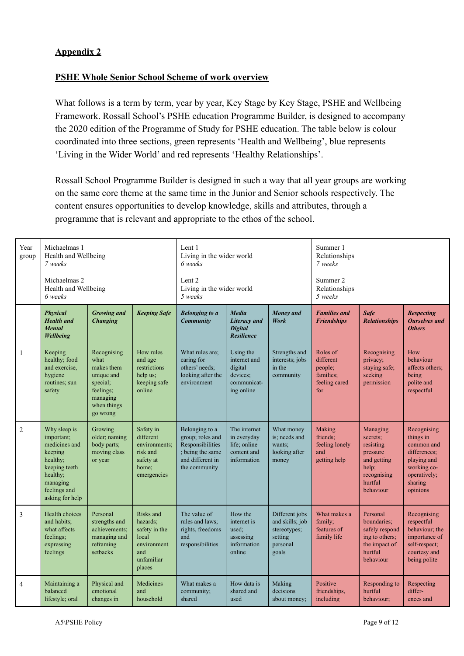# **Appendix 2**

## **PSHE Whole Senior School Scheme of work overview**

What follows is a term by term, year by year, Key Stage by Key Stage, PSHE and Wellbeing Framework. Rossall School's PSHE education Programme Builder, is designed to accompany the 2020 edition of the Programme of Study for PSHE education. The table below is colour coordinated into three sections, green represents 'Health and Wellbeing', blue represents 'Living in the Wider World' and red represents 'Healthy Relationships'.

Rossall School Programme Builder is designed in such a way that all year groups are working on the same core theme at the same time in the Junior and Senior schools respectively. The content ensures opportunities to develop knowledge, skills and attributes, through a programme that is relevant and appropriate to the ethos of the school.

| Year<br>group  | Michaelmas 1<br>Health and Wellbeing<br>7 weeks                                                                                                |                                                                                                                 | Lent 1<br>Living in the wider world<br>6 weeks                                                |                                                                                                                 |                                                                               | Summer 1<br>Relationships<br>7 weeks                                              |                                                                       |                                                                                                              |                                                                                                                             |
|----------------|------------------------------------------------------------------------------------------------------------------------------------------------|-----------------------------------------------------------------------------------------------------------------|-----------------------------------------------------------------------------------------------|-----------------------------------------------------------------------------------------------------------------|-------------------------------------------------------------------------------|-----------------------------------------------------------------------------------|-----------------------------------------------------------------------|--------------------------------------------------------------------------------------------------------------|-----------------------------------------------------------------------------------------------------------------------------|
|                | Michaelmas 2<br>Health and Wellbeing<br>6 weeks                                                                                                |                                                                                                                 | Lent 2<br>5 weeks                                                                             | Living in the wider world                                                                                       |                                                                               |                                                                                   | Summer 2<br>Relationships<br>5 weeks                                  |                                                                                                              |                                                                                                                             |
|                | <b>Physical</b><br><b>Health</b> and<br><b>Mental</b><br><b>Wellbeing</b>                                                                      | <b>Growing</b> and<br><b>Changing</b>                                                                           | <b>Keeping Safe</b>                                                                           | <b>Belonging to a</b><br><b>Community</b>                                                                       | <b>Media</b><br>Literacy and<br><b>Digital</b><br><b>Resilience</b>           | Money and<br><b>Work</b>                                                          | <b>Families and</b><br><b>Friendships</b>                             | <b>Safe</b><br><b>Relationships</b>                                                                          | <b>Respecting</b><br><b>Ourselves</b> and<br><b>Others</b>                                                                  |
| $\mathbf{1}$   | Keeping<br>healthy; food<br>and exercise,<br>hygiene<br>routines; sun<br>safety                                                                | Recognising<br>what<br>makes them<br>unique and<br>special;<br>feelings;<br>managing<br>when things<br>go wrong | How rules<br>and age<br>restrictions<br>help us;<br>keeping safe<br>online                    | What rules are:<br>caring for<br>others' needs;<br>looking after the<br>environment                             | Using the<br>internet and<br>digital<br>devices;<br>communicat-<br>ing online | Strengths and<br>interests; jobs<br>in the<br>community                           | Roles of<br>different<br>people;<br>families:<br>feeling cared<br>for | Recognising<br>privacy;<br>staying safe;<br>seeking<br>permission                                            | How<br>behaviour<br>affects others;<br>being<br>polite and<br>respectful                                                    |
| 2              | Why sleep is<br>important;<br>medicines and<br>keeping<br>healthy;<br>keeping teeth<br>healthy;<br>managing<br>feelings and<br>asking for help | Growing<br>older; naming<br>body parts;<br>moving class<br>or year                                              | Safety in<br>different<br>environments:<br>risk and<br>safety at<br>home;<br>emergencies      | Belonging to a<br>group; roles and<br>Responsibilities<br>; being the same<br>and different in<br>the community | The internet<br>in everyday<br>life; online<br>content and<br>information     | What money<br>is; needs and<br>wants:<br>looking after<br>money                   | Making<br>friends;<br>feeling lonely<br>and<br>getting help           | Managing<br>secrets;<br>resisting<br>pressure<br>and getting<br>help;<br>recognising<br>hurtful<br>behaviour | Recognising<br>things in<br>common and<br>differences:<br>playing and<br>working co-<br>operatively;<br>sharing<br>opinions |
| 3              | Health choices<br>and habits:<br>what affects<br>feelings;<br>expressing<br>feelings                                                           | Personal<br>strengths and<br>achievements;<br>managing and<br>reframing<br>setbacks                             | Risks and<br>hazards:<br>safety in the<br>local<br>environment<br>and<br>unfamiliar<br>places | The value of<br>rules and laws;<br>rights, freedoms<br>and<br>responsibilities                                  | How the<br>internet is<br>used;<br>assessing<br>information<br>online         | Different jobs<br>and skills; job<br>stereotypes;<br>setting<br>personal<br>goals | What makes a<br>family;<br>features of<br>family life                 | Personal<br>boundaries;<br>safely respond<br>ing to others;<br>the impact of<br>hurtful<br>behaviour         | Recognising<br>respectful<br>behaviour; the<br>importance of<br>self-respect;<br>courtesy and<br>being polite               |
| $\overline{4}$ | Maintaining a<br>balanced<br>lifestyle; oral                                                                                                   | Physical and<br>emotional<br>changes in                                                                         | Medicines<br>and<br>household                                                                 | What makes a<br>community;<br>shared                                                                            | How data is<br>shared and<br>used                                             | Making<br>decisions<br>about money;                                               | Positive<br>friendships,<br>including                                 | Responding to<br>hurtful<br>behaviour;                                                                       | Respecting<br>differ-<br>ences and                                                                                          |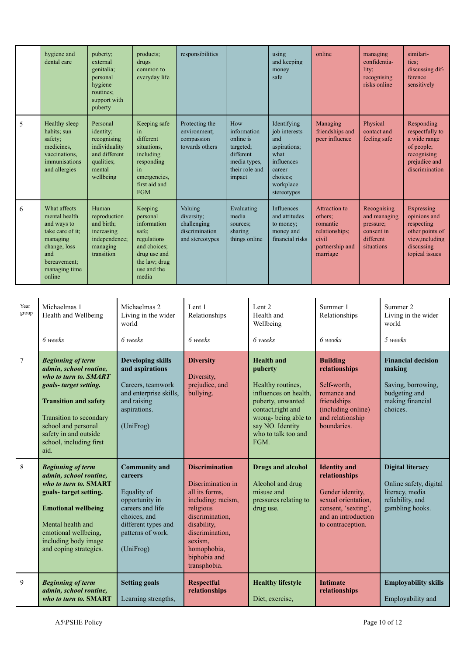|   | hygiene and<br>dental care                                                                                                                     | puberty;<br>external<br>genitalia;<br>personal<br>hygiene<br>routines:<br>support with<br>puberty           | products;<br>drugs<br>common to<br>everyday life                                                                                    | responsibilities                                                          |                                                                                                       | using<br>and keeping<br>money<br>safe                                                                                       | online                                                                                                | managing<br>confidentia-<br>lity;<br>recognising<br>risks online                  | similari-<br>ties:<br>discussing dif-<br>ference<br>sensitively                                                |
|---|------------------------------------------------------------------------------------------------------------------------------------------------|-------------------------------------------------------------------------------------------------------------|-------------------------------------------------------------------------------------------------------------------------------------|---------------------------------------------------------------------------|-------------------------------------------------------------------------------------------------------|-----------------------------------------------------------------------------------------------------------------------------|-------------------------------------------------------------------------------------------------------|-----------------------------------------------------------------------------------|----------------------------------------------------------------------------------------------------------------|
| 5 | Healthy sleep<br>habits; sun<br>safety;<br>medicines.<br>vaccinations.<br>immunisations<br>and allergies                                       | Personal<br>identity;<br>recognising<br>individuality<br>and different<br>qualities;<br>mental<br>wellbeing | Keeping safe<br>in<br>different<br>situations.<br>including<br>responding<br>in<br>emergencies,<br>first aid and<br><b>FGM</b>      | Protecting the<br>environment;<br>compassion<br>towards others            | How<br>information<br>online is<br>targeted;<br>different<br>media types,<br>their role and<br>impact | Identifying<br>job interests<br>and<br>aspirations:<br>what<br>influences<br>career<br>choices:<br>workplace<br>stereotypes | Managing<br>friendships and<br>peer influence                                                         | Physical<br>contact and<br>feeling safe                                           | Responding<br>respectfully to<br>a wide range<br>of people;<br>recognising<br>prejudice and<br>discrimination  |
| 6 | What affects<br>mental health<br>and ways to<br>take care of it:<br>managing<br>change, loss<br>and<br>bereavement;<br>managing time<br>online | Human<br>reproduction<br>and birth;<br>increasing<br>independence;<br>managing<br>transition                | Keeping<br>personal<br>information<br>safe:<br>regulations<br>and choices:<br>drug use and<br>the law; drug<br>use and the<br>media | Valuing<br>diversity;<br>challenging<br>discrimination<br>and stereotypes | Evaluating<br>media<br>sources:<br>sharing<br>things online                                           | <b>Influences</b><br>and attitudes<br>to money;<br>money and<br>financial risks                                             | <b>Attraction</b> to<br>others;<br>romantic<br>relationships;<br>civil<br>partnership and<br>marriage | Recognising<br>and managing<br>pressure;<br>consent in<br>different<br>situations | Expressing<br>opinions and<br>respecting<br>other points of<br>view, including<br>discussing<br>topical issues |

| Year<br>group | Michaelmas 1<br>Health and Wellbeing                                                                                                                                                                                                               | Michaelmas 2<br>Living in the wider<br>world                                                                                                                  | Lent 1<br>Relationships                                                                                                                                                                                        | Lent 2<br>Health and<br>Wellbeing                                                                                                                                                               | Summer 1<br>Relationships                                                                                                                          | Summer 2<br>Living in the wider<br>world                                                                    |
|---------------|----------------------------------------------------------------------------------------------------------------------------------------------------------------------------------------------------------------------------------------------------|---------------------------------------------------------------------------------------------------------------------------------------------------------------|----------------------------------------------------------------------------------------------------------------------------------------------------------------------------------------------------------------|-------------------------------------------------------------------------------------------------------------------------------------------------------------------------------------------------|----------------------------------------------------------------------------------------------------------------------------------------------------|-------------------------------------------------------------------------------------------------------------|
|               | 6 weeks                                                                                                                                                                                                                                            | 6 weeks                                                                                                                                                       | 6 weeks                                                                                                                                                                                                        | 6 weeks                                                                                                                                                                                         | 6 weeks                                                                                                                                            | 5 weeks                                                                                                     |
| 7             | <b>Beginning of term</b><br>admin, school routine,<br>who to turn to. SMART<br>goals-target setting.<br><b>Transition and safety</b><br>Transition to secondary<br>school and personal<br>safety in and outside<br>school, including first<br>aid. | <b>Developing skills</b><br>and aspirations<br>Careers, teamwork<br>and enterprise skills,<br>and raising<br>aspirations.<br>(UniFrog)                        | <b>Diversity</b><br>Diversity,<br>prejudice, and<br>bullying.                                                                                                                                                  | <b>Health and</b><br>puberty<br>Healthy routines,<br>influences on health,<br>puberty, unwanted<br>contact, right and<br>wrong-being able to<br>say NO. Identity<br>who to talk too and<br>FGM. | <b>Building</b><br>relationships<br>Self-worth,<br>romance and<br>friendships<br>(including online)<br>and relationship<br>boundaries.             | <b>Financial decision</b><br>making<br>Saving, borrowing,<br>budgeting and<br>making financial<br>choices.  |
| 8             | <b>Beginning of term</b><br>admin, school routine,<br>who to turn to. SMART<br>goals-target setting.<br><b>Emotional wellbeing</b><br>Mental health and<br>emotional wellbeing,<br>including body image<br>and coping strategies.                  | <b>Community and</b><br>careers<br>Equality of<br>opportunity in<br>careers and life<br>choices, and<br>different types and<br>patterns of work.<br>(Unifrog) | <b>Discrimination</b><br>Discrimination in<br>all its forms,<br>including: racism,<br>religious<br>discrimination,<br>disability,<br>discrimination.<br>sexism.<br>homophobia,<br>biphobia and<br>transphobia. | <b>Drugs and alcohol</b><br>Alcohol and drug<br>misuse and<br>pressures relating to<br>drug use.                                                                                                | <b>Identity</b> and<br>relationships<br>Gender identity,<br>sexual orientation,<br>consent, 'sexting',<br>and an introduction<br>to contraception. | <b>Digital literacy</b><br>Online safety, digital<br>literacy, media<br>reliability, and<br>gambling hooks. |
| 9             | <b>Beginning of term</b><br>admin, school routine,<br>who to turn to. SMART                                                                                                                                                                        | <b>Setting goals</b><br>Learning strengths,                                                                                                                   | <b>Respectful</b><br>relationships                                                                                                                                                                             | <b>Healthy lifestyle</b><br>Diet, exercise,                                                                                                                                                     | <b>Intimate</b><br>relationships                                                                                                                   | <b>Employability skills</b><br>Employability and                                                            |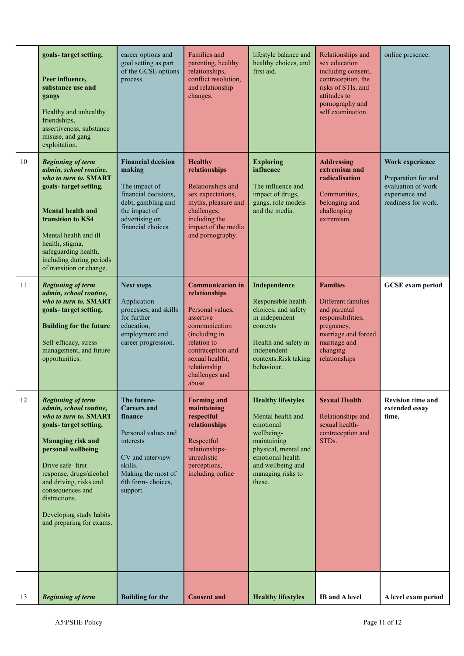|    | goals-target setting.<br>Peer influence,<br>substance use and<br>gangs<br>Healthy and unhealthy<br>friendships,<br>assertiveness, substance<br>misuse, and gang<br>exploitation.                                                                                                                                            | career options and<br>goal setting as part<br>of the GCSE options<br>process.                                                                                          | <b>Families and</b><br>parenting, healthy<br>relationships,<br>conflict resolution,<br>and relationship<br>changes.                                                                                            | lifestyle balance and<br>healthy choices, and<br>first aid.                                                                                                                              | Relationships and<br>sex education<br>including consent,<br>contraception, the<br>risks of STIs, and<br>attitudes to<br>pornography and<br>self examination. | online presence.                                                                                      |
|----|-----------------------------------------------------------------------------------------------------------------------------------------------------------------------------------------------------------------------------------------------------------------------------------------------------------------------------|------------------------------------------------------------------------------------------------------------------------------------------------------------------------|----------------------------------------------------------------------------------------------------------------------------------------------------------------------------------------------------------------|------------------------------------------------------------------------------------------------------------------------------------------------------------------------------------------|--------------------------------------------------------------------------------------------------------------------------------------------------------------|-------------------------------------------------------------------------------------------------------|
| 10 | <b>Beginning of term</b><br>admin, school routine,<br>who to turn to. SMART<br>goals-target setting.<br><b>Mental health and</b><br>transition to KS4<br>Mental health and ill<br>health, stigma,<br>safeguarding health,<br>including during periods<br>of transition or change.                                           | <b>Financial decision</b><br>making<br>The impact of<br>financial decisions,<br>debt, gambling and<br>the impact of<br>advertising on<br>financial choices             | <b>Healthy</b><br>relationships<br>Relationships and<br>sex expectations,<br>myths, pleasure and<br>challenges,<br>including the<br>impact of the media<br>and pornography.                                    | <b>Exploring</b><br>influence<br>The influence and<br>impact of drugs,<br>gangs, role models<br>and the media.                                                                           | <b>Addressing</b><br>extremism and<br>radicalisation<br>Communities,<br>belonging and<br>challenging<br>extremism.                                           | Work experience<br>Preparation for and<br>evaluation of work<br>experience and<br>readiness for work. |
| 11 | <b>Beginning of term</b><br>admin, school routine,<br>who to turn to. SMART<br>goals-target setting.<br><b>Building for the future</b><br>Self-efficacy, stress<br>management, and future<br>opportunities.                                                                                                                 | <b>Next steps</b><br>Application<br>processes, and skills<br>for further<br>education.<br>employment and<br>career progression.                                        | <b>Communication in</b><br>relationships<br>Personal values,<br>assertive<br>communication<br>(including in<br>relation to<br>contraception and<br>sexual health),<br>relationship<br>challenges and<br>abuse. | Independence<br>Responsible health<br>choices, and safety<br>in independent<br>contexts<br>Health and safety in<br>independent<br>contexts.Risk taking<br>behaviour.                     | <b>Families</b><br>Different families<br>and parental<br>responsibilities,<br>pregnancy,<br>marriage and forced<br>marriage and<br>changing<br>relationships | <b>GCSE</b> exam period                                                                               |
| 12 | <b>Beginning of term</b><br>admin, school routine,<br>who to turn to. SMART<br>goals-target setting.<br><b>Managing risk and</b><br>personal wellbeing<br>Drive safe-first<br>response, drugs/alcohol<br>and driving, risks and<br>consequences and<br>distractions.<br>Developing study habits<br>and preparing for exams. | The future-<br><b>Careers</b> and<br>finance<br>Personal values and<br>interests<br>CV and interview<br>skills.<br>Making the most of<br>6th form-choices,<br>support. | <b>Forming and</b><br>maintaining<br>respectful<br>relationships<br>Respectful<br>relationships-<br>unrealistic<br>perceptions,<br>including online                                                            | <b>Healthy lifestyles</b><br>Mental health and<br>emotional<br>wellbeing-<br>maintaining<br>physical, mental and<br>emotional health<br>and wellbeing and<br>managing risks to<br>these. | <b>Sexual Health</b><br>Relationships and<br>sexual health-<br>contraception and<br>STDs.                                                                    | <b>Revision time and</b><br>extended essay<br>time.                                                   |
| 13 | <b>Beginning of term</b>                                                                                                                                                                                                                                                                                                    | <b>Building for the</b>                                                                                                                                                | <b>Consent and</b>                                                                                                                                                                                             | <b>Healthy lifestyles</b>                                                                                                                                                                | <b>IB</b> and A level                                                                                                                                        | A level exam period                                                                                   |